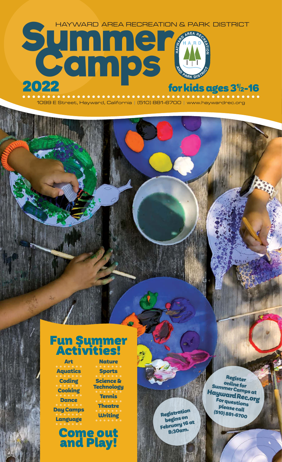$2022$  for kids ages 3½-16 **Summer AREA RECREATION &** HAYWARD AREA RECREATION & PARK DISTRICT

1099 E Street, Hayward, California | (510) 881-6700 | www.haywardrec.org

# Fun Summer Activities!

Art Aquatics Coding Cooking **Dance** Day Camps Language

Nature Sports Science & **Technology** Tennis

**Theatre** 

Come out and Play!

Writing Registration begins on February 16 at 8:30am.

Register<br>online for Summer Camps at HaywardRec.org For questions please call (510) 881-6700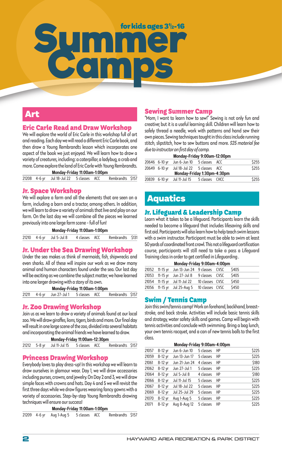# Summer <sup>forkids ages 31<sub>2-16</sub></sup>

# Art

# Eric Carle Read and Draw Workshop

We will explore the world of Eric Carle in this workshop full of art and reading. Each day we will read a different Eric Carle book, and then draw a Young Rembrandts lesson which incorporates one aspect of the book we just enjoyed. We will learn how to draw a variety of creatures, including: a caterpillar, a ladybug, a crab and more. Come explore the land of Eric Carle with Young Rembrandts. **Monday-Friday 11:00am-1:00pm** 

|  | monuay-rinuay n.ooann-n.oopm |  |                                                           |  |
|--|------------------------------|--|-----------------------------------------------------------|--|
|  |                              |  | 21208 4-6 yr Jul 18-Jul 22 5 classes ACC Rembrandts \$157 |  |

#### Jr. Space Workshop

We will explore a farm and all the elements that are seen on a farm, including a barn and a tractor, among others. In addition, we will learn to draw a variety of animals that live and play on our farm. On the last day we will combine all the pieces we learned previously into one large farm scene - full of fun!

**Monday-Friday 11:00am-1:00pm** 

|  | 21210 4-6 yr Jul 5-Jul 8 | 4 classes ACC | Rembrandts \$131 |  |
|--|--------------------------|---------------|------------------|--|
|  |                          |               |                  |  |

# Jr. Under the Sea Drawing Workshop

Under the sea makes us think of mermaids, fish, shipwrecks and even sharks. All of these will inspire our work as we draw many animal and human characters found under the sea. Our last day will be exciting as we combine the subject matter, we have learned into one larger drawing with a story of its own.

|  | Monday-Friday 11:00am-1:00pm |  |                  |  |
|--|------------------------------|--|------------------|--|
|  |                              |  | Rembrandts \$157 |  |

# Jr. Zoo Drawing Workshop

Join us as we learn to draw a variety of animals found at our local zoo. We will draw giraffes, lions, tigers, birds and more. Our final day will result in one large scene of the zoo, divided into several habitats and incorporating the animal friends we have learned to draw.

```
Monday-Friday 11:00am-12:30pm
```

```
21212 5-8 yr Jul 11-Jul 15 5 classes ACC Rembrandts $157
```
# Princess Drawing Workshop

Everybody loves to play dress-up! In this workshop we will learn to draw ourselves in glamour wear. Day 1, we will draw accessories including purses, crowns, and jewelry. On Day 2 and 3, we will draw simple faces with crowns and hats. Day 4 and 5 we will revisit the first three days while we draw figures wearing fancy gowns with a variety of accessories. Step-by-step Young Rembrandts drawing techniques will ensure our success!

#### **Monday-Friday 11:00am-1:00pm**

|  |  | 21209 4-6 yr Aug 1-Aug 5 5 classes ACC |  |  | Rembrandts \$157 |  |
|--|--|----------------------------------------|--|--|------------------|--|
|--|--|----------------------------------------|--|--|------------------|--|

# Sewing Summer Camp

"Mom, I want to learn how to sew!" Sewing is not only fun and creative; but it is a useful learning skill. Children will learn how to safely thread a needle, work with patterns and hand sew their own pieces. Sewing techniques taught in this class include running stitch, slipstitch, how to sew buttons and more. *\$25 material fee due to instructor on first day of camp.* 

#### **Monday-Friday 9:00am-12:00pm**

|  | 20646 6-10 yr Jun 6-Jun 10 5 classes ACC   |  | \$255 |
|--|--------------------------------------------|--|-------|
|  | 20649 6-10 yr Jul 18-Jul 22 5 classes ACC  |  | \$255 |
|  | Monday-Friday 1:30pm-4:30pm                |  |       |
|  | 20839 6-10 yr Jul 11-Jul 15 5 classes CHCC |  | \$255 |

# Aquatics

# Jr. Lifeguard & Leadership Camp

Learn what it takes to be a lifeguard. Participants learn the skills needed to become a lifeguard that includes lifesaving skills and first aid. Participants will also learn how to help teach swim lessons with a swim instructor. Participant must be able to swim at least 50 yards of coordinated front crawl. This not a lifeguard certification course, participants will still need to take a pass a Lifeguard Training class in order to get certified in Lifeguarding .

| Monday-Friday 9:00am-4:00pm |                                             |                 |  |       |  |  |  |  |  |
|-----------------------------|---------------------------------------------|-----------------|--|-------|--|--|--|--|--|
|                             | 21052 11-15 yr Jun 13-Jun 24 9 classes CVSC |                 |  | \$405 |  |  |  |  |  |
|                             | 21053 11-15 yr Jun 27-Jul 8 9 classes CVSC  |                 |  | \$405 |  |  |  |  |  |
|                             | 21054 11-15 yr Jul 11-Jul 22                | 10 classes CVSC |  | \$450 |  |  |  |  |  |
|                             | 21056 11-15 yr Jul 25-Aug 5 10 classes CVSC |                 |  | \$450 |  |  |  |  |  |

# Swim / Tennis Camp

Join this swim/tennis camp! Work on forehand, backhand, breaststroke, and back stroke. Activities will include basic tennis skills and strategy, water safety skills and games. Camp will begin with tennis activities and conclude with swimming. Bring a bag lunch, your own tennis racquet, and a can of new tennis balls to the first class.

## **Monday-Friday 9:00am-4:00pm**

| 21057 | 8-12 yr   | Jun 6-Jun 10  | 5 classes | HP | \$225 |
|-------|-----------|---------------|-----------|----|-------|
| 21059 | $8-12$ yr | Jun 13-Jun 17 | 5 classes | HP | \$225 |
| 21061 | 8-12 yr   | Jun 21-Jun 24 | 4 classes | HP | \$180 |
| 21062 | 8-12 yr   | Jun 27-Jul 1  | 5 classes | HP | \$225 |
| 21064 | 8-12 yr   | Jul 5-Jul 8   | 4 classes | HP | \$180 |
| 21066 | 8-12 yr   | Jul 11-Jul 15 | 5 classes | HP | \$225 |
| 21067 | 8-12 yr   | Jul 18-Jul 22 | 5 classes | HP | \$225 |
| 21069 | 8-12 yr   | Jul 25-Jul 29 | 5 classes | HP | \$225 |
| 21070 | 8-12 yr   | Aug 1-Aug 5   | 5 classes | HP | \$225 |
| 21071 | $8-12$ yr | Aug 8-Aug 12  | 5 classes | HP | \$225 |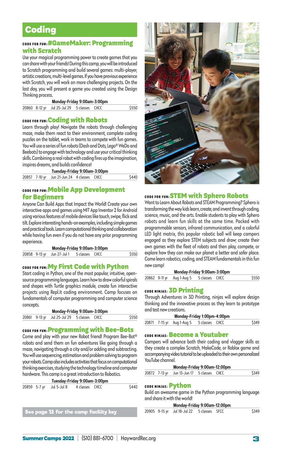# **Coding**

# CODE FOR FUN: #GameMaker: Programming with Scratch

Use your magical programming power to create games that you can share with your friends! During this camp, you will be introduced to Scratch programming and build several games: multi-player, artistic creations, multi-level games. If you have previous experience with Scratch, you will work on more challenging projects. On the last day, you will present a game you created using the Design Thinking process.

| Monday-Friday 9:00am-3:00pm |                                            |  |  |       |  |  |  |
|-----------------------------|--------------------------------------------|--|--|-------|--|--|--|
|                             | 20860 8-12 yr Jul 25-Jul 29 5 classes CHCC |  |  | \$550 |  |  |  |

## CODE FOR FUN:Coding with Robots

Learn through play! Navigate the robots through challenging maze, make them react to their environment, complete coding puzzles on the tablet, work in teams to compete with fun games. You will use a series of fun robots (Dash and Dots, Lego® WeDo and Beebots) to engage with technology and use your critical thinking skills. Combining a real robot with coding fires up the imagination, inspires dreams, and builds confidence!

|  | Tuesday-Friday 9:00am-3:00pm               |  |       |
|--|--------------------------------------------|--|-------|
|  | 20857 7-10 yr Jun 21-Jun 24 4 classes CHCC |  | \$440 |

## CODE FOR FUN: Mobile App Development for Beginners

Anyone Can Build Apps that Impact the World! Create your own interactive apps and games using MIT App Inventor 2 for Android using various features of mobile devices like touch, swipe, flick and tilt. Explore interesting hands-on examples, including simple games and practical tools. Learn computational thinking and collaboration while having fun even if you do not have any prior programming experience.

|  |  | Monday-Friday 9:00am-3:00pm |  |
|--|--|-----------------------------|--|
|  |  |                             |  |

| \$550<br>20858 9-13 yr Jun 27-Jul 1 5 classes CHCC |  |
|----------------------------------------------------|--|
|----------------------------------------------------|--|

## CODE FOR FUN: My First Code with Python

Start coding in Python, one of the most popular, intuitive, opensource programming languages. Learn how to draw colorful spirals and shapes with Turtle graphics module, create fun interactive projects using Repl.it coding environment. Camp focuses on fundamentals of computer programming and computer science concepts.

| Monday-Friday 9:00am-3:00pm |                                            |  |  |       |  |  |  |  |
|-----------------------------|--------------------------------------------|--|--|-------|--|--|--|--|
|                             | 20861 9-13 yr Jul 25-Jul 29 5 classes CHCC |  |  | \$550 |  |  |  |  |

#### CODE FOR FUN: Programming with Bee-Bots

Come and play with your new Robot friend! Program Bee-Bot® robots and send them on fun adventures like going through a maze, navigating through a city and/or adding and subtracting. You will use sequencing, estimation and problem solving to program your robots. Camp also includes activities that focus on computational thinking exercises, studying the technology timeline and computer hardware. This camp is a great introduction to Robotics.

| Tuesday-Friday 9:00am-3:00pm |  |                          |                |  |       |
|------------------------------|--|--------------------------|----------------|--|-------|
|                              |  | 20859 5-7 yr Jul 5-Jul 8 | 4 classes CHCC |  | \$440 |

**See page 12 for the camp facility key 2000F** 



#### CODE FOR FUN:STEM with Sphero Robots

Want to Learn About Robots and STEAM Programming? Sphero is transforming the way kids learn, create, and invent through coding, science, music, and the arts. Enable students to play with Sphero robots and learn fun skills at the same time. Packed with programmable sensors, infrared communication, and a colorful LED light matrix, this popular robotic ball will keep campers engaged as they explore STEM subjects and draw; create their own games with the fleet of robots and then play, compete, or explore how they can make our planet a better and safer place. Come learn robotics, coding, and STEAM fundamentals in this fun new camp!

| Monday-Friday 9:00am-3:00pm |  |                                          |  |  |       |  |
|-----------------------------|--|------------------------------------------|--|--|-------|--|
|                             |  | 20862 9-11 yr Aug 1-Aug 5 5 classes CHCC |  |  | \$550 |  |

#### CODE NINJAS: 3D Printing

Through Adventures in 3D Printing, ninjas will explore design thinking and the innovative process as they learn to prototype and test new creations.

|  | Monday-Friday 1:00pm-4:00pm              |  |       |
|--|------------------------------------------|--|-------|
|  | 20871 7-15 yr Aug 1-Aug 5 5 classes CHCC |  | \$349 |

# CODE NINJAS: Become a Youtuber

Campers will advance both their coding and vlogger skills as they create a complex Scratch, MakeCode, or Roblox game and accompanying video tutorial to be uploaded to their own personalized YouTube channel.

| Monday-Friday 9:00am-12:00pm |  |                                            |  |  |       |  |
|------------------------------|--|--------------------------------------------|--|--|-------|--|
|                              |  | 20872 7-13 yr Jun 13-Jun 17 5 classes CHCC |  |  | \$349 |  |

#### CODE NINJAS: Python

Build an awesome game in the Python programming language and share it with the world!

| Monday-Friday 9:00am-12:00pm |  |
|------------------------------|--|
|------------------------------|--|

| 0905 9-15 yr Jul 18-Jul 22 5 classes SFCC | \$349 |
|-------------------------------------------|-------|
|-------------------------------------------|-------|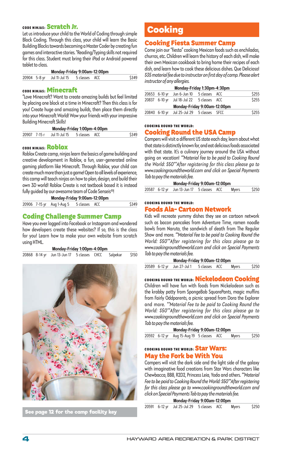# CODE NINJAS: Scratch Jr.

Let us introduce your child to the World of Coding through simple Block Coding. Through this class, your child will learn the Basic Building Blocks towards becoming a Master Coder by creating fun games and interactive stories. \*Reading/Typing skills not required for this class. Student must bring their iPad or Android powered tablet to class.

|  | Monday-Friday 9:00am-12:00pm             |  |       |
|--|------------------------------------------|--|-------|
|  | 20904 5-8 yr Jul 11-Jul 15 5 classes ACC |  | \$349 |

# CODE NINJAS: Minecraft

"Love Minecraft? Want to create amazing builds but feel limited by placing one block at a time in Minecraft? Then this class is for you! Create huge and amazing builds, then place them directly into your Minecraft World! Wow your friends with your impressive Building Minecraft Skills!

| Monday-Friday 1:00pm-4:00pm |              |                             |  |  |       |
|-----------------------------|--------------|-----------------------------|--|--|-------|
|                             | 20907 7-15 r | Jul 11-Jul 15 5 classes ACC |  |  | \$349 |

# CODE NINJAS: Roblox

Roblox Create camp, ninjas learn the basics of game building and creative development in Roblox, a fun, user-generated online gaming platform like Minecraft. Through Roblox, your child can create much more than just a game! Open to all levels of experience, this camp will teach ninjas on how to plan, design, and build their own 3D world! Roblox Create is not textbook based it is instead fully guided by our awesome team of Code Senseis®!

|  | Monday-Friday 9:00am-12:00pm            |  |       |
|--|-----------------------------------------|--|-------|
|  | 20906 7-15 yr Aug 1-Aug 5 5 classes ACC |  | \$349 |

### Coding Challenge Summer Camp

Have you ever logged into Facebook or Instagram and wondered how developers create these websites? If so, this is the class for you! Learn how to make your own website from scratch using HTML.

|  | Monday-Friday 1:00pm-4:00pm |
|--|-----------------------------|
|--|-----------------------------|

|  | 20868 8-14 yr Jun 13-Jun 17 5 classes CHCC Salpekar \$150 |  |  |
|--|-----------------------------------------------------------|--|--|



**See page 12 for the camp facility key**

# **Cooking**

# Cooking Fiesta Summer Camp

Come join our "fiesta" cooking Mexican foods such as enchiladas, churros, etc. Children will learn the history of each dish, will make their own Mexican cookbook to bring home their recipes of each dish, and learn how to cook these delicious dishes. Que Delicioso! *\$35 material fee due to instructor on first day of camp. Please alert instructor of any allergies.* 

|  | Monday-Friday 1:30pm-4:30pm                |  |       |
|--|--------------------------------------------|--|-------|
|  | 20653 6-10 yr Jun 6-Jun 10 5 classes ACC   |  | \$255 |
|  | 20837 6-10 yr Jul 18-Jul 22 5 classes ACC  |  | \$255 |
|  | Monday-Friday 9:00am-12:00pm               |  |       |
|  | 20840 6-10 yr Jul 25-Jul 29 5 classes SFCC |  | \$255 |

#### COOKING ROUND THE WORLD:

# Cooking Round the USA Camp

Campers will visit a different US state each day, learn about what that state is distinctly known for, and eat delicious foods associated with that state. It's a culinary journey around the USA without going on vacation! *\*\*Material Fee to be paid to Cooking Round the World: \$50\*\*After registering for this class please go to www.cookingroundtheworld.com and click on Special Payments Tab to pay the materials fee.* 

| Monday-Friday 9:00am-12:00pm |  |                                           |  |  |              |       |
|------------------------------|--|-------------------------------------------|--|--|--------------|-------|
|                              |  | 20587 6-12 yr Jun 13-Jun 17 5 classes ACC |  |  | <b>Myers</b> | \$250 |

#### COOKING ROUND THE WORLD:

#### Foods Ala- Cartoon Network

Kids will recreate yummy dishes they see on cartoon network such as bacon pancakes from Adventure Time, ramen noodle bowls from Naruto, the sandwich of death from The Regular Show and more. *\*\*Material Fee to be paid to Cooking Round the World: \$50\*\*After registering for this class please go to www.cookingroundtheworld.com and click on Special Payments Tab to pay the materials fee.* 

| Monday-Friday 9:00am-12:00pm |                                          |  |  |              |       |  |
|------------------------------|------------------------------------------|--|--|--------------|-------|--|
|                              | 20589 6-12 yr Jun 27-Jul 1 5 classes ACC |  |  | <b>Myers</b> | \$250 |  |

COOKING ROUND THE WORLD: Nickelodeon Cooking

Children will have fun with foods from Nickelodeon such as the krabby patty from SpongeBob SquarePants, magic muffins from Fairly Oddparents, a picnic spread from Dora the Explorer and more. *\*\*Material Fee to be paid to Cooking Round the World: \$50\*\*After registering for this class please go to www.cookingroundtheworld.com and click on Special Payments Tab to pay the materials fee.* 

| Monday-Friday 9:00am-12:00pm |  |                                           |  |  |       |       |
|------------------------------|--|-------------------------------------------|--|--|-------|-------|
|                              |  | 20592 6-12 yr Aug 15-Aug 19 5 classes ACC |  |  | Myers | \$250 |
|                              |  |                                           |  |  |       |       |

# COOKING ROUND THE WORLD: Star Wars: May the Fork be With You

Campers will visit the dark side and the light side of the galaxy with imaginative food creations from Star Wars characters like Chewbacca, BB8, R2D2, Princess Leia, Yoda and others. *\*\*Material Fee to be paid to Cooking Round the World: \$50\*\*After registering for this class please go to www.cookingroundtheworld.com and click on Special Payments Tab to pay the materials fee.* 

| Monday-Friday 9:00am-12:00pm |                                           |  |  |       |       |  |
|------------------------------|-------------------------------------------|--|--|-------|-------|--|
|                              | 20591 6-12 yr Jul 25-Jul 29 5 classes ACC |  |  | Myers | \$250 |  |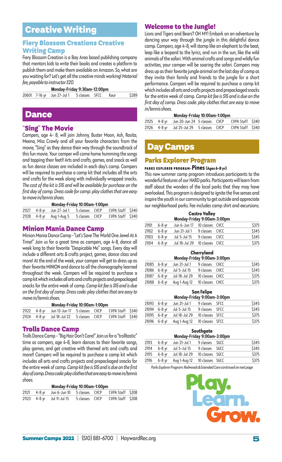# Creative Writing

# Fiery Blossom Creations Creative Writing Camp

Fiery Blossom Creation is a Bay Area based publishing company that mentors kids to write their books and creates a platform to publish them and make them available on Amazon. So, what are you waiting for? Let's get all the creative minds working! *Material fee, payable to instructor \$20.* 

#### **Monday-Friday 9:30am-12:00pm**

20601 7-16 yr Jun 27-Jul 1 5 classes SFCC Kaur \$289

# Dance

#### "Sing" The Movie

Campers, age 4- 8, will join Johnny, Buster Moon, Ash, Rosita, Meena, Miss Crawly and all your favorite characters from the movie, "Sing" as they dance their way through the soundtrack of this fun movie. Your camper will come home humming the songs and tapping their feet!! Arts and crafts, games, and snack as well as fun dance classes are included in each day's camp. Campers will be required to purchase a camp kit that includes all the arts and crafts for the week along with individually wrapped snacks. *The cost of the kit is \$15 and will be available for purchase on the first day of camp. Dress code for camp: play clothes that are easy to move in/tennis shoes.* 

#### **Monday-Friday 10:00am-1:00pm**

|  | 21127 4-8 yr Jun 27-Jul 1 5 classes CVCP CVPA Staff \$340 |  |  |
|--|-----------------------------------------------------------|--|--|
|  | 21128 4-8 yr Aug 1-Aug 5 5 classes CVCP CVPA Staff \$340  |  |  |

# Minion Mania Dance Camp

Minion Mania Dance Camp -"Let's Save The World One Jewel At A Time!" Join us for a great time as campers, age 4-8, dance all week long to their favorite "Despicable Me" songs. Every day will include a different arts & crafts project, games, dance class and more! At the end of the week, your camper will get to dress up as their favorite MINION and dance to all the choreography learned throughout the week. Campers will be required to purchase a camp kit which includes all arts and crafts projects and prepackaged snacks for the entire week of camp. *Camp kit fee is \$15 and is due on the first day of camp. Dress code: play clothes that are easy to move in/tennis shoes.* 

#### **Monday-Friday 10:00am-1:00pm**

|  | 21122 4-8 yr Jun 13-Jun 17 5 classes CVCP CVPA Staff \$340 |  |  |
|--|------------------------------------------------------------|--|--|
|  | 21124 4-8 yr Jul 18-Jul 22 5 classes CVCP CVPA Staff \$340 |  |  |

#### Trolls Dance Camp

Trolls Dance Camp - "Big Hair Don't Care!" Join us for a "trolltastic" time as campers, age 4-8, learn dances to their favorite songs, play games, and get creative with themed arts and crafts and more!! Campers will be required to purchase a camp kit which includes all arts and crafts projects and prepackaged snacks for the entire week of camp. *Camp kit fee is \$15 and is due on the first day of camp. Dress code: play clothes that are easy to move in/tennis shoes.*  **Monday-Friday 10:00am-1:00** 

| Monday-Friday 10:00am-1:00pm |  |                                                           |                |  |                  |  |  |
|------------------------------|--|-----------------------------------------------------------|----------------|--|------------------|--|--|
|                              |  | 21121 4-8 yr Jun 6-Jun 10 5 classes CVCP CVPA Staff \$208 |                |  |                  |  |  |
|                              |  | 21123 4-8 yr Jul 11-Jul 15                                | 5 classes CVCP |  | CVPA Staff \$208 |  |  |

#### Welcome to the Jungle!

Lions and Tigers and Bears? OH MY! Embark on an adventure by dancing your way through the jungle in this delightful dance camp. Campers, age 4-8, will stomp like an elephant to the beat, leap like a leopard to the lyrics, and run in the sun, like the wild animals of the safari. With animal crafts and songs and wildly fun activities, your camper will be soaring the safari. Campers may dress up as their favorite jungle animal on the last day of camp as they invite their family and friends to the jungle for a short performance. Campers will be required to purchase a camp kit which includes all arts and crafts projects and prepackaged snacks for the entire week of camp. *Camp kit fee is \$15 and is due on the first day of camp. Dress code: play clothes that are easy to move in/tennis shoes.* 

#### **Monday-Friday 10:00am-1:00pm**

|  | 21125 4-8 yr Jun 20-Jun 24 5 classes CVCP CVPA Staff \$340 |  |  |
|--|------------------------------------------------------------|--|--|
|  | 21126 4-8 yr Jul 25-Jul 29 5 classes CVCP CVPA Staff \$340 |  |  |

# Day Camps

## Parks Explorer Program

#### PARKS EXPLORER PROGRAM-**Pines (Ages 6-8 yr)**

This new summer camp program introduces participants to the wonderful features of our HARD parks. Participants will learn from staff about the wonders of the local parks that they may have overlooked. This program is designed to ignite the five senses and inspire the youth in our community to get outside and appreciate our neighborhood parks. Fee includes camp shirt and excursions.

|       | <b>Castro Valley</b><br>Monday-Friday 9:00am-3:00pm |                              |                 |  |       |  |
|-------|-----------------------------------------------------|------------------------------|-----------------|--|-------|--|
| 21101 | $6-8$ yr                                            | Jun 6-Jun 17 10 classes CVCC |                 |  | \$375 |  |
| 21102 | 6-8 yr                                              | Jun 21-Jul 1 9 classes CVCC  |                 |  | \$345 |  |
| 21103 | 6-8 yr                                              | Jul 5-Jul 15                 | 9 classes CVCC  |  | \$345 |  |
| 21104 | $6-8$ vr                                            | Jul 18-Jul 29                | 10 classes CVCC |  | \$375 |  |

# **Cherryland**

| Monday-Friday 9:00am-3:00pm |                              |                 |  |       |  |
|-----------------------------|------------------------------|-----------------|--|-------|--|
| 21085 6-8 yr                | Jun 21-Jul 1 9 classes CHCC  |                 |  | \$345 |  |
| 21086 6-8 yr                | Jul 5-Jul 15                 | 9 classes CHCC  |  | \$345 |  |
| 21087 6-8 yr                | Jul 18-Jul 29                | 10 classes CHCC |  | \$375 |  |
| 21088 6-8 yr                | Aug 1-Aug 12 10 classes CHCC |                 |  | \$375 |  |

#### **San Felipe**

| Monday-Friday 9:00am-3:00pm |              |                             |                 |  |       |
|-----------------------------|--------------|-----------------------------|-----------------|--|-------|
|                             | 21093 6-8 yr | Jun 21-Jul 1 9 classes SFCC |                 |  | \$345 |
|                             | 21094 6-8 yr | Jul 5-Jul 15                | 9 classes SFCC  |  | \$345 |
|                             | 21095 6-8 yr | Jul 18-Jul 29               | 10 classes SFCC |  | \$375 |
|                             | 21096 6-8 yr | Aug 1-Aug 12                | 10 classes SFCC |  | \$375 |

# **Southgate**

| Monday-Friday 9:00am-3:00pm |          |                              |                 |  |       |
|-----------------------------|----------|------------------------------|-----------------|--|-------|
| 21113                       | $6-8$ vr | Jun 21-Jul 1 9 classes SGCC  |                 |  | \$345 |
| 21114                       | 6-8 yr   | Jul 5-Jul 15                 | 9 classes SGCC  |  | \$345 |
| 21115                       | 6-8 vr   | Jul 18-Jul 29                | 10 classes SGCC |  | \$375 |
| 21116                       | $6-8$ yr | Aug 1-Aug 12 10 classes SGCC |                 |  | \$375 |

*Parks Explorer Program: Redwoods & Extended Care continued on next page*

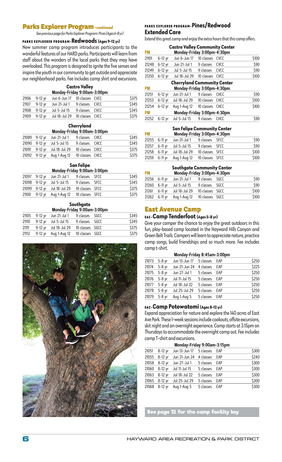#### **Parks Explorer Program - continued**

*See previous page for Parks Explorer Program: Pines (Ages 6-8 yr)*

#### PARKS EXPLOERER PROGRAM-**Redwoods (Ages 9-12 yr)**

New summer camp program introduces participants to the wonderful features of our HARD parks. Participants will learn from staff about the wonders of the local parks that they may have overlooked. This program is designed to ignite the five senses and inspire the youth in our community to get outside and appreciate our neighborhood parks. Fee includes camp shirt and excursions.

#### **Castro Valley**

| Monday-Friday 9:00am-3:00pm |         |                                             |                |  |       |  |  |
|-----------------------------|---------|---------------------------------------------|----------------|--|-------|--|--|
| 21106                       | 9-12 vr | Jun 6-Jun 17 10 classes CVCC                |                |  | \$375 |  |  |
|                             |         | 21107 9-12 yr Jun 21-Jul 1 9 classes CVCC   |                |  | \$345 |  |  |
|                             |         | 21108 9-12 yr Jul 5-Jul 15                  | 9 classes CVCC |  | \$345 |  |  |
|                             |         | 21109 9-12 yr Jul 18-Jul 29 10 classes CVCC |                |  | \$375 |  |  |

#### **Cherryland**

| Monday-Friday 9:00am-3:00pm |  |  |
|-----------------------------|--|--|
|                             |  |  |
|                             |  |  |

|  | 21089 9-12 yr Jun 21-Jul 1                  | 9 classes CHCC | \$345 |
|--|---------------------------------------------|----------------|-------|
|  | 21090 9-12 yr Jul 5-Jul 15                  | 9 classes CHCC | \$345 |
|  | 21091 9-12 yr Jul 18-Jul 29 10 classes CHCC |                | \$375 |
|  | 21092 9-12 yr Aug 1-Aug 12 10 classes CHCC  |                | \$375 |

# **San Felipe**

| Monday-Friday 9:00am-3:00pm |  |                                            |                 |  |       |  |  |
|-----------------------------|--|--------------------------------------------|-----------------|--|-------|--|--|
|                             |  | 21097 9-12 yr Jun 21-Jul 1 9 classes SFCC  |                 |  | \$345 |  |  |
|                             |  | 21098 9-12 yr Jul 5-Jul 15 9 classes SFCC  |                 |  | \$345 |  |  |
|                             |  | 21099 9-12 yr Jul 18-Jul 29                | 10 classes SFCC |  | \$375 |  |  |
|                             |  | 21100 9-12 yr Aug 1-Aug 12 10 classes SFCC |                 |  | \$375 |  |  |

#### **Southgate**

| Monday-Friday 9:00am-3:00pm |  |                                     |                 |  |       |  |  |
|-----------------------------|--|-------------------------------------|-----------------|--|-------|--|--|
| 21105                       |  | 9-12 yr Jun 21-Jul 1 9 classes SGCC |                 |  | \$345 |  |  |
| 21110                       |  | 9-12 yr Jul 5-Jul 15                | 9 classes SGCC  |  | \$345 |  |  |
| 21111                       |  | 9-12 yr Jul 18-Jul 29               | 10 classes SGCC |  | \$375 |  |  |
| 21112                       |  | 9-12 yr Aug 1-Aug 12                | 10 classes SGCC |  | \$375 |  |  |



#### PARKS EXPLORER PROGRAM-**Pines/Redwood Extended Care**

Extend this great camp and enjoy the extra hours that this camp offers.

| <b>Castro Valley Community Center</b><br><b>PM</b><br>Monday-Friday 3:00pm-4:30pm |                                                                   |               |            |             |       |  |  |  |
|-----------------------------------------------------------------------------------|-------------------------------------------------------------------|---------------|------------|-------------|-------|--|--|--|
| 21101                                                                             | $6-12$ yr                                                         | Jun 6-Jun 17  | 10 classes | <b>CVCC</b> | \$100 |  |  |  |
| 21248                                                                             | $6-12$ yr                                                         | Jun 21-Jul 1  | 9 classes  | <b>CVCC</b> | \$90  |  |  |  |
| 21249                                                                             | $6-12$ yr                                                         | Jul 5-Jul 15  | 9 classes  | <b>CVCC</b> | \$90  |  |  |  |
| 21250                                                                             | $6-12$ yr                                                         | Jul 18-Jul 29 | 10 classes | <b>CVCC</b> | \$100 |  |  |  |
| <b>PM</b>                                                                         | <b>Cherryland Community Center</b><br>Monday-Friday 3:00pm-4:30pm |               |            |             |       |  |  |  |
| 21251                                                                             | $6-12$ yr                                                         | Jun 21-Jul 1  | 9 classes  | <b>CHCC</b> | \$90  |  |  |  |
| 21253                                                                             | $6-12$ yr                                                         | Jul 18-Jul 29 | 10 classes | <b>CHCC</b> | \$100 |  |  |  |
| 21254                                                                             | $6-12$ yr                                                         | Aug 1-Aug 12  | 10 classes | <b>CHCC</b> | \$100 |  |  |  |
| <b>PM</b>                                                                         | Monday-Friday 3:00pm-4:30pm                                       |               |            |             |       |  |  |  |
| 21252                                                                             | $6-12$ yr                                                         | Jul 5-Jul 15  | 9 classes  | <b>CHCC</b> | \$90  |  |  |  |

#### **San Felipe Community Center**

| <b>PM</b><br>Monday-Friday 3:00pm-4:30pm |               |                             |                 |  |       |  |
|------------------------------------------|---------------|-----------------------------|-----------------|--|-------|--|
|                                          | 21255 6-11 yr | Jun 21-Jul 1 9 classes SFCC |                 |  | \$90  |  |
|                                          | 21257 6-11 yr | Jul 5-Jul 15                | 9 classes SFCC  |  | \$90  |  |
|                                          | 21258 6-11 yr | Jul 18-Jul 29               | 10 classes SFCC |  | \$100 |  |
|                                          | 21259 6-11 yr | Aug 1-Aug 12                | 10 classes SFCC |  | \$100 |  |

| <b>PM</b> | <b>Southaate Community Center</b><br>Monday-Friday 3:00pm-4:30pm |                             |                 |  |       |  |  |  |
|-----------|------------------------------------------------------------------|-----------------------------|-----------------|--|-------|--|--|--|
| 21256     | $6-11$ vr                                                        | Jun 21-Jul 1 9 classes SGCC |                 |  | \$90  |  |  |  |
| 21260     | $6-11$ vr                                                        | Jul 5-Jul 15                | 9 classes SGCC  |  | \$90  |  |  |  |
| 21261     | $6-11$ vr                                                        | Jul 18-Jul 29               | 10 classes SGCC |  | \$100 |  |  |  |
| 21262     | $6-11$ yr                                                        | Aug 1-Aug 12                | 10 classes SGCC |  | \$100 |  |  |  |

#### East Avenue Camp

### EAC-**Camp Tenderfoot (Ages 5-8 yr)**

Give your camper the chance to enjoy the great outdoors in this fun, play-based camp located in the Hayward Hills Canyon and Green Belt Trails. Campers will learn to appreciate nature, practice camp songs, build friendships and so much more. Fee includes camp t-shirt.

| Monday-Friday 8:45am-3:00pm |          |               |           |     |       |  |  |
|-----------------------------|----------|---------------|-----------|-----|-------|--|--|
| 21073                       | $5-8$ yr | Jun 13-Jun 17 | 5 classes | EAP | \$250 |  |  |
| 21074                       | $5-8$ yr | Jun 21-Jun 24 | 4 classes | EAP | \$225 |  |  |
| 21075                       | $5-8$ yr | Jun 27-Jul 1  | 5 classes | EAP | \$250 |  |  |
| 21076                       | $5-8$ yr | Jul 11-Jul 15 | 5 classes | EAP | \$250 |  |  |
| 21077                       | $5-8$ yr | Jul 18-Jul 22 | 5 classes | EAP | \$250 |  |  |
| 21078                       | $5-8$ yr | Jul 25-Jul 29 | 5 classes | EAP | \$250 |  |  |
| 21079                       | $5-8$ yr | Aug 1-Aug 5   | 5 classes | EAP | \$250 |  |  |
|                             |          |               |           |     |       |  |  |

#### EAC-**Camp Potowatomi (Ages 8-12 yr)**

Expand appreciation for nature and explore the 140 acres of East Ave Park. These 1-week sessions include cookouts, offsite excursions, skit night and an overnight experience. Camp starts at 3:15pm on Thursdays to accommodate the overnight camp out. Fee includes camp T-shirt and excursions.

|       | Monday-Friday 9:00am-3:15pm |                         |           |     |       |  |  |  |
|-------|-----------------------------|-------------------------|-----------|-----|-------|--|--|--|
| 21051 | $8-12$ yr                   | Jun 13-Jun 17 5 classes |           | EAP | \$300 |  |  |  |
| 21055 | $8-12$ yr                   | Jun 21-Jun 24 4 classes |           | EAP | \$240 |  |  |  |
| 21058 | $8-12$ yr                   | Jun 27-Jul 1            | 5 classes | EAP | \$300 |  |  |  |
| 21060 | 8-12 yr                     | Jul 11-Jul 15           | 5 classes | EAP | \$300 |  |  |  |
|       | 21063 8-12 yr               | Jul 18-Jul 22           | 5 classes | EAP | \$300 |  |  |  |
| 21065 | $8-12$ vr                   | Jul 25-Jul 29           | 5 classes | EAP | \$300 |  |  |  |
| 21068 | $8-12$ yr                   | Aug 1-Aug 5             | 5 classes | EAP | \$300 |  |  |  |

**See page 12 for the camp facility key**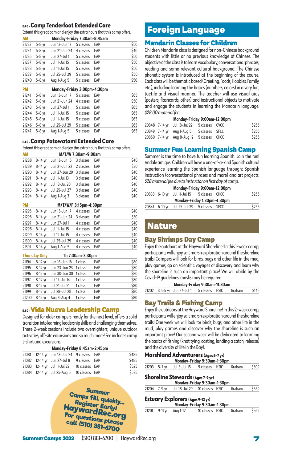#### EAC-**Camp Tenderfoot Extended Care**

Extend this great cam and enjoy the extra hours that this camp offers.

| <b>AM</b> | Monday-Friday 7:30am-8:45am |               |           |     |      |  |  |  |
|-----------|-----------------------------|---------------|-----------|-----|------|--|--|--|
| 21233     | $5-8$ yr                    | Jun 13-Jun 17 | 5 classes | EAP | \$50 |  |  |  |
| 21234     | $5-8$ vr                    | Jun 21-Jun 24 | 4 classes | EAP | \$40 |  |  |  |
| 21236     | $5-8$ yr                    | Jun 27-Jul 1  | 5 classes | EAP | \$50 |  |  |  |
| 21237     | $5-8$ vr                    | Jul 11-Jul 15 | 5 classes | EAP | \$50 |  |  |  |
| 21238     | $5-8$ vr                    | Jul 11-Jul 15 | 5 classes | EAP | \$50 |  |  |  |
| 21239     | $5-8$ yr                    | Jul 25-Jul 29 | 5 classes | EAP | \$50 |  |  |  |
| 21240     | $5-8$ yr                    | Aug 1-Aug 5   | 5 classes | EAP | \$50 |  |  |  |

| <b>PM</b> | Monday-Friday 3:00pm-4:30pm |               |           |     |      |  |  |  |
|-----------|-----------------------------|---------------|-----------|-----|------|--|--|--|
| 21241     | $5-8$ yr                    | Jun 13-Jun 17 | 5 classes | EAP | \$65 |  |  |  |
| 21242     | $5-8$ yr                    | Jun 21-Jun 24 | 4 classes | FAP | \$50 |  |  |  |
| 21243     | $5-8$ yr                    | Jun 27-Jul 1  | 5 classes | EAP | \$65 |  |  |  |
| 21244     | $5-8$ vr                    | Jul 11-Jul 15 | 5 classes | EAP | \$65 |  |  |  |
| 21245     | $5-8$ yr                    | Jul 11-Jul 15 | 5 classes | EAP | \$65 |  |  |  |
| 21246     | $5-8$ yr                    | Jul 25-Jul 29 | 5 classes | EAP | \$65 |  |  |  |
| 21247     | $5-8$ yr                    | Aug 1-Aug 5   | 5 classes | EAP | \$65 |  |  |  |

#### EAC-**Camp Potowatomi Extended Care**

Extend this great cam and enjoy the extra hours that this camp offers.

| <b>AM</b> |         |                                       | M/T/W 7:30am-9:00am |     |      |
|-----------|---------|---------------------------------------|---------------------|-----|------|
| 21288     |         | 8-14 yr Jun 13-Jun 15 3 classes EAP   |                     |     | \$40 |
| 21289     |         | 8-14 yr Jun 21-Jun 22 2 classes EAP   |                     |     | \$30 |
| 21290     |         | 8-14 yr Jun 27-Jun 29 3 classes       |                     | EAP | \$40 |
|           |         | 21291 8-14 yr Jul 11-Jul 13 3 classes |                     | EAP | \$40 |
| 21292     |         | 8-14 yr Jul 18-Jul 20                 | 3 classes           | EAP | \$40 |
| 21293     |         | 8-14 yr Jul 25-Jul 27                 | 3 classes           | EAP | \$40 |
| 21294     | 8-14 yr | Aug 1-Aug 3                           | 3 classes           | EAP | \$40 |

| <b>PM</b> |           | M/T/W/F 3:15pm-4:30pm           |           |     |      |
|-----------|-----------|---------------------------------|-----------|-----|------|
| 21295     | 8-14 yr   | Jun 13-Jun 17                   | 4 classes | EAP | \$40 |
| 21296     |           | 8-14 yr Jun 21-Jun 24 3 classes |           | EAP | \$30 |
| 21297     | $8-14$ yr | Jun 27-Jul 1                    | 4 classes | EAP | \$40 |
| 21298     |           | 8-14 yr Jul 11-Jul 15           | 4 classes | EAP | \$40 |
| 21299     | $8-14$ yr | Jul 11-Jul 15                   | 4 classes | EAP | \$40 |
| 21300     | 8-14 vr   | Jul 25-Jul 29                   | 4 classes | EAP | \$40 |
| 21301     | $8-14$ vr | Aug 1-Aug 5                     | 4 classes | EAP | \$40 |

| <b>Thursday Only</b> |           |                       | Th 7:30am-3:30pm |     |      |
|----------------------|-----------|-----------------------|------------------|-----|------|
| 21194                | $8-12$ yr | Jun 16-Jun 16         | 1 class          | EAP | \$80 |
| 21195                | $8-12$ yr | Jun 23-Jun 23 1 class |                  | EAP | \$80 |
| 21196                | $8-12$ vr | Jun 30-Jun 30         | 1 class          | EAP | \$80 |
| 21197                | $8-12$ yr | Jul 14-Jul 14         | 1 class          | EAP | \$80 |
| 21198                | $8-12$ yr | Jul 21-Jul 21         | 1 class          | EAP | \$80 |
| 21199                | $8-12$ yr | Jul 28-Jul 28         | 1 class          | EAP | \$80 |
| 21200                | 8-12 vr   | Aug 4-Aug 4           | 1 class          | EAP | \$80 |

# EAC-Vida Nueva Leadership Camp

Designed for older campers ready for the next level, offers a solid transition into learning leadership skills and challenging themselves. These 2-week sessions include two overnighters, unique outdoor activities, off-site excursions and so much more! Fee includes camp t-shirt and excursions.

| Monday-Friday 8:45am-2:45pm |                                            |                |  |       |  |  |  |
|-----------------------------|--------------------------------------------|----------------|--|-------|--|--|--|
|                             | 21081 12-14 yr Jun 13-Jun 24 9 classes EAP |                |  | \$485 |  |  |  |
|                             | 21082 12-14 yr Jun 27-Jul 8 9 classes EAP  |                |  | \$485 |  |  |  |
|                             | 21083 12-14 yr Jul 11-Jul 22               | 10 classes EAP |  | \$525 |  |  |  |
|                             | 21084 12-14 yr Jul 25-Aug 5 10 classes EAP |                |  | \$525 |  |  |  |



# Foreign Language

# Mandarin Classes for Children

Children Mandarin class is designed for non-Chinese background students with little or no previous knowledge of Chinese. The objective of the class is to learn vocabulary, conversational phrases, reading and some relevant cultural background. The Chinese phonetic system is introduced at the beginning of the course. Each class will be thematic based (Greeting, Foods, Hobbies, Family, etc.), including learning the basics (numbers, colors) in a very fun, tactile and visual manner. The teacher will use visual aids (posters, flashcards, other) and instructional objects to motivate and engage the students in learning the Mandarin language. *\$28.00 material fee.* 

| Monday-Friday 9:00am-12:00pm |                                            |                |  |       |  |  |  |  |
|------------------------------|--------------------------------------------|----------------|--|-------|--|--|--|--|
|                              | 20848 7-14 yr Jul 18-Jul 22 5 classes CVCC |                |  | \$255 |  |  |  |  |
|                              | 20849 7-14 yr Aug 1-Aug 5                  | 5 classes SFCC |  | \$255 |  |  |  |  |
|                              | 20850 7-14 yr Aug 8-Aug 12 5 classes CHCC  |                |  | \$255 |  |  |  |  |

# Summer Fun Learning Spanish Camp

Summer is the time to have fun learning Spanish. Join the fun! Andale amigos! Children will have a one-of-a-kind Spanish cultural experience learning the Spanish language through: Spanish instruction (conversational phrases and more) and art projects. *\$28 material fee due to instructor on first day of camp.* 

|               | Monday-Friday 9:00am-12:00pm               |  |       |
|---------------|--------------------------------------------|--|-------|
| 20838 6-10 yr | Jul 11-Jul 15 5 classes CHCC               |  | \$255 |
|               | Monday-Friday 1:30pm-4:30pm                |  |       |
|               | 20841 6-10 yr Jul 25-Jul 29 5 classes SFCC |  | \$255 |
|               |                                            |  |       |

# Nature

# Bay Shrimps Day Camp

Enjoy the outdoors at the Hayward Shoreline! In this 1-week camp, participants will enjoy salt marsh exploration around the shoreline trails! Campers will look for birds, bugs and other life in the mud, play games, go on scientific voyages of discovery and learn why the shoreline is such an important place! We will abide by the Covid-19 guidelines; masks may be required.

| Monday-Friday 9:30am-11:30am |  |                                            |  |  |        |       |  |
|------------------------------|--|--------------------------------------------|--|--|--------|-------|--|
|                              |  | 21202 3.5-5 yr Jun 27-Jul 1 5 classes HSIC |  |  | Graham | \$145 |  |

# Bay Trails & Fishing Camp

Enjoy the outdoors at the Hayward Shoreline! In this 2-week camp, participants will enjoy salt marsh exploration around the shoreline trails! One week we will look for birds, bugs, and other life in the mud, play games and discover why the shoreline is such an important place! Our second week will be dedicated to learning the basics of fishing (knot tying, casting, landing a catch, release) and the diversity of life in the Bay!.

|       |          | Marshland Adventurers (Ages 5-7 yr)<br>Monday-Friday 9:30am-1:30pm     |                 |        |       |
|-------|----------|------------------------------------------------------------------------|-----------------|--------|-------|
| 21203 | $5-7$ yr | Jul 5-Jul 15 9 classes HSIC                                            |                 | Graham | \$509 |
|       |          | Shoreline Stewards (Ages 7-9 yr)<br>Monday-Friday 9:30am-1:30pm        |                 |        |       |
| 21204 |          | 7-9 yr Jul 18-Jul 29 10 classes HSIC                                   |                 | Graham | \$569 |
|       |          | <b>Estuary Explorers (Ages 9-12 yr)</b><br>Monday-Friday 9:30am-1:30pm |                 |        |       |
| 21201 | 9-11 yr  | Aug 1-12                                                               | 10 classes HSIC | Graham | \$569 |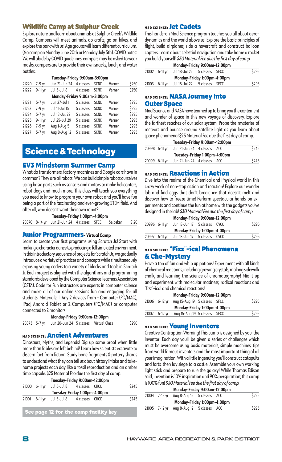# Wildlife Camp at Sulphur Creek

Explore nature and learn about animals at Sulphur Creek's Wildlife Camp. Campers will meet animals, do crafts, go on hikes, and explore the park with us! Age groups will learn different curriculum. (No camp on Monday June 20th or Monday July 5th). COVID notes: We will abide by COVID guidelines, campers may be asked to wear masks, campers are to provide their own snacks, lunch, and water bottles.

|       | Tuesday-Friday 9:00am-3:00pm |               |           |             |        |       |  |  |
|-------|------------------------------|---------------|-----------|-------------|--------|-------|--|--|
| 21220 | 7-9 yr                       | Jun 21-Jun 24 | 4 classes | <b>SCNC</b> | Varner | \$250 |  |  |
| 21222 | $9-11$ yr                    | Jul 5-Jul 8   | 4 classes | <b>SCNC</b> | Varner | \$250 |  |  |
|       | Monday-Friday 9:00am-3:00pm  |               |           |             |        |       |  |  |
| 21221 | $5-7$ yr                     | Jun 27-Jul 1  | 5 classes | <b>SCNC</b> | Varner | \$295 |  |  |
| 21223 | 7-9 yr                       | Jul 11-Jul 15 | 5 classes | <b>SCNC</b> | Varner | \$295 |  |  |
| 21224 | $5-7$ vr                     | Jul 18-Jul 22 | 5 classes | <b>SCNC</b> | Varner | \$295 |  |  |
| 21225 | $9-11$ yr                    | Jul 25-Jul 29 | 5 classes | <b>SCNC</b> | Varner | \$295 |  |  |
| 21226 | 7-9 yr                       | Aug 1-Aug 5   | 5 classes | <b>SCNC</b> | Varner | \$295 |  |  |
| 21227 | $5-7$ vr                     | Aug 8-Aug 12  | 5 classes | <b>SCNC</b> | Varner | \$295 |  |  |

# Science & Technology

## EV3 Mindstorm Summer Camp

What do transformers, factory machines and Google cars have in common? They are all robots! We can build simple robots ourselves using basic parts such as sensors and motors to make helicopters, robot dogs and much more. This class will teach you everything you need to know to program your own robot and you'll have fun being a part of the fascinating and ever-growing STEM field. And after all, who doesn't want their own robot?

**Tuesday-Friday 1:00pm-4:00pm** 

|  | 20870 8-14 yr Jun 21-Jun 24 4 classes SFCC Salpekar \$120 |  |  |
|--|-----------------------------------------------------------|--|--|
|  |                                                           |  |  |

#### Junior Programmers**- Virtual Camp**

Learn to create your first programs using Scratch Jr.! Start with making a character dance to producing a full simulated environment. In this introductory sequence of projects for Scratch Jr., we gradually introduce a variety of practices and concepts while simultaneously exposing young coders to a variety of blocks and tools in Scratch Jr. Each project is aligned with the algorithms and programming standards developed by the Computer Science Teachers Association (CSTA). Code for Fun instructors are experts in computer science and make all of our online sessions fun and engaging for all students. Materials: 1. Any 2 devices from - Computer (PC/MAC), iPad, Android Tablet or 2 Computers (PC/MAC) or computer connected to 2 monitors

| Monday-Friday 9:00am-12:00pm |                                       |  |  |       |  |  |
|------------------------------|---------------------------------------|--|--|-------|--|--|
| 20873 5-7 yr                 | Jun 20-Jun 24 5 classes Virtual Class |  |  | \$290 |  |  |

#### MAD SCIENCE: Ancient Adventures

Dinosaurs, Myths, and Legends! Dig up some proof when little more than fables are left behind! Learn how scientists excavate to discern fact from fiction. Study bone fragments & pottery shards to understand what they can tell us about history! Make and takehome projects each day like a fossil reproduction and an amber time capsule. \$25 Material Fee due the first day of camp.

| Tuesday-Friday 9:00am-12:00pm |                                          |  |  |       |  |  |
|-------------------------------|------------------------------------------|--|--|-------|--|--|
| 21000 6-11 yr                 | Jul 5-Jul 8 4 classes CHCC               |  |  | \$245 |  |  |
|                               | Tuesday-Friday 1:00pm-4:00pm             |  |  |       |  |  |
|                               | 21001 6-11 yr Jul 5-Jul 8 4 classes CHCC |  |  | \$245 |  |  |
|                               |                                          |  |  |       |  |  |
|                               | l Can nasa 19 San tha agus Saalitu kar   |  |  |       |  |  |

**See page 12 for the camp facility key**

# MAD SCIENCE: Jet Cadets

This hands-on Mad Science program teaches you all about aerodynamics and the world above us! Explore the basic principles of flight, build airplanes, ride a hovercraft and construct balloon copters. Learn about celestial navigation and take home a rocket you build yourself! *\$30 Material Fee due the first day of camp.*

| Monday-Friday 9:00am-12:00pm |                              |  |  |       |  |  |  |
|------------------------------|------------------------------|--|--|-------|--|--|--|
| 21002 6-11 vr                | Jul 18-Jul 22 5 classes SFCC |  |  | \$295 |  |  |  |
|                              | Monday-Friday 1:00pm-4:00pm  |  |  |       |  |  |  |
| 21003 6-11 yr                | Jul 18-Jul 22 5 classes SFCC |  |  | \$295 |  |  |  |

#### **MAD SCIENCE: NASA Journey Into** Outer Space

Mad Science and NASA have teamed up to bring you the excitement and wonder of space in this new voyage of discovery. Explore the farthest reaches of our solar system. Probe the mysteries of meteors and bounce around satellite light as you learn about space phenomena! \$25 Material Fee due the first day of camp.

|               | Tuesday-Friday 9:00am-12:00pm |  |       |
|---------------|-------------------------------|--|-------|
| 20998 6-11 yr | Jun 21-Jun 24 4 classes ACC   |  | \$245 |
|               | Tuesday-Friday 1:00pm-4:00pm  |  |       |
| 20999 6-11 yr | Jun 21-Jun 24 4 classes ACC   |  | \$245 |

#### **MAD SCIENCE: Reactions in Action**

Dive into the realms of the Chemical and Physical world in this crazy week of non-stop action and reaction! Explore our wonder lab and find eggs that don't break, ice that doesn't melt and discover how to freeze time! Perform spectacular hands-on experiments and continue the fun at home with the gadgets you've designed in the lab! *\$30 Material Fee due the first day of camp.*

|                             |               | Monday-Friday 9:00am-12:00pm |  |  |       |  |  |
|-----------------------------|---------------|------------------------------|--|--|-------|--|--|
|                             | 20996 6-11 yr | Jun 13-Jun 17 5 classes CVCC |  |  | \$295 |  |  |
| Monday-Friday 1:00pm-4:00pm |               |                              |  |  |       |  |  |
|                             | 20997 6-11 yr | Jun 13-Jun 17 5 classes CVCC |  |  | \$295 |  |  |

## MAD SCIENCE: "Fizz"-ical Phenomena & Che-Mystery

Have a ton of fun and whip up potions! Experiment with all kinds of chemical reactions, including growing crystals, making sidewalk chalk, and learning the science of chromatography! Mix it up and experiment with molecular madness, radical reactions and "fizz"-ical and chemical reactions!

|       |               | Monday-Friday 9:00am-12:00pm |  |       |
|-------|---------------|------------------------------|--|-------|
|       | 21006 6-12 vr | Aug 15-Aug 19 5 classes SFCC |  | \$295 |
|       |               | Monday-Friday 1:00pm-4:00pm  |  |       |
| 21007 | 6-12 vr       | Aug 15-Aug 19 5 classes SFCC |  | \$295 |
|       |               |                              |  |       |

#### **MAD SCIENCE: Young Inventors**

Creative Contraption Warning! This camp is designed by you-the Inventor! Each day you'll be given a series of challenges which must be overcome using basic materials, simple machines, tips from world famous inventors and the most important thing of all your imagination! With a little ingenuity, you'll construct catapults and forts, then lay siege to a castle. Assemble your own working light stick and prepare to rule the galaxy! While Thomas Edison said, invention is 10% inspiration and 90% perspiration; this camp is 100% fun! *\$30 Material Fee due the first day of camp.*

|               | Monday-Friday 9:00am-12:00pm |  |       |
|---------------|------------------------------|--|-------|
| 21004 7-12 vr | Aug 8-Aug 12 5 classes ACC   |  | \$295 |
|               | Monday-Friday 1:00pm-4:00pm  |  |       |
| 21005 7-12 vr | Aug 8-Aug 12 5 classes ACC   |  | \$295 |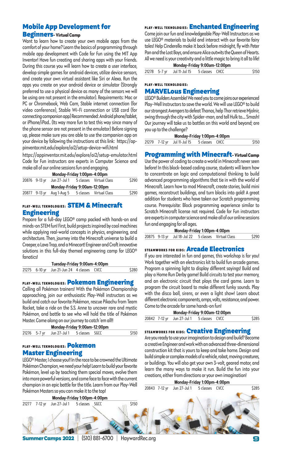# Mobile App Development for

#### Beginners**- Virtual Camp**

Want to learn how to create your own mobile apps from the comfort of your home? Learn the basics of programming through mobile app development with Code for Fun using the MIT App Inventor! Have fun creating and sharing apps with your friends. During this course you will learn how to create a user interface, develop simple games for android devices, utilize device sensors, and create your own virtual assistant like Siri or Alexa. Run the apps you create on your android device or simulator (Strongly preferred to use a physical device as many of the sensors we will be using are not present in the emulator). Requirements: Mac or PC or Chromebook, Web Cam, Stable internet connection (for video conference), Stable Wi-Fi connection or USB cord (for connecting companion app) Recommended: Android phone/tablet, or iPhone/iPad.. (Its way more fun to test this way since many of the phone sensor are not present in the emulator) Before signing up, please make sure you are able to use the companion app on your device by following the instructions at this link: https://appinventor.mit.edu/explore/ai2/setup-device-wifi.html

https://appinventor.mit.edu/explore/ai2/setup-emulator.html Code for Fun instructors are experts in Computer Science and make all of our online sessions fun and engaging.

|  | Mondav-Fridav 1:00pm-4:00pm |
|--|-----------------------------|
|  |                             |

| m |                                                    |  |  |       |  |  |  |
|---|----------------------------------------------------|--|--|-------|--|--|--|
|   | 20876 9-13 yr Jun 27-Jul 1 5 classes Virtual Class |  |  | \$290 |  |  |  |
|   | Monday-Friday 9:00am-12:00pm                       |  |  |       |  |  |  |
|   | 20877 9-13 yr Aug 1-Aug 5 5 classes Virtual Class  |  |  | \$290 |  |  |  |

## PLAY-WELL TEKNOLOGIES: STEM & Minecraft Engineering

Prepare for a full-day LEGO® camp packed with hands-on and minds-on STEM fun! First, build projects inspired by cool machines while applying real-world concepts in physics, engineering, and architecture. Then, journey into the Minecraft universe to build a Creeper, a Lava Trap, and a Minecart! Engineer and Craft innovative solutions in this full-day themed engineering camp for LEGO® fanatics!

| Tuesday-Friday 9:00am-4:00pm |                                            |  |  |       |  |  |
|------------------------------|--------------------------------------------|--|--|-------|--|--|
|                              | 21275 6-10 yr Jun 21-Jun 24 4 classes CVCC |  |  | \$280 |  |  |

#### PLAY-WELL TEKNOLOGIES: Pokemon Engineering

Calling all Pokémon trainers! With the Pokémon Championship approaching, join our enthusiastic Play-Well instructors as we build and catch our favorite Pokémon, rescue Pikachu from Team Rocket, take a ride on the S.S. Anne to uncover rare and mystic Pokémon, and battle to see who will hold the title of Pokémon Master. Come along on our journey to catch 'em all!!

| Monday-Friday 9:00am-12:00pm |  |                                          |  |  |       |  |
|------------------------------|--|------------------------------------------|--|--|-------|--|
|                              |  | 21276 5-7 yr Jun 27-Jul 1 5 classes SGCC |  |  | \$150 |  |

# PLAY-WELL TEKNOLOGIES: Pokemon Master Engineering

LEGO® Master, I choose you!! In the race to be crowned the Ultimate Pokémon Champion, we need your help! Learn to build your favorite Pokémon, level up by teaching them special moves, evolve them into more powerful versions, and come face to face with the current champion in an epic battle for the title. Learn from our Play-Well Pokémon Masters so you can make it to the top!

PLAY-WELL TEKNOLOGIES: Enchanted Engineering

Come join our fun and knowledgeable Play-Well Instructors as we use LEGO® materials to build and interact with our favorite fairy tales! Help Cinderella make it back before midnight, fly with Peter Pan and the Lost Boys, and ensure Alice outwits the Queen of Hearts. All we need is your creativity and a little magic to bring it all to life! **Monday-Friday 9:00am-12:00pm** 

| MONGAL-LIGA MONGALIST DUGLISH |                                           |  |  |       |  |  |  |
|-------------------------------|-------------------------------------------|--|--|-------|--|--|--|
|                               | 21278 5-7 yr Jul 11-Jul 15 5 classes CHCC |  |  | \$150 |  |  |  |
|                               |                                           |  |  |       |  |  |  |

#### PLAY-WELL TEKNOLOGIES:

#### MARVELous Engineering

LEGO® Builders Assemble! We need you to come joins our experienced Play-Well Instructors to save the world. We will use LEGO® to build our strongest Avengers to defeat Thanos, help Thor retrieve Mjolnir, swing through the city with Spider-man, and tell Hulk to.... Smash! Our journey will take us to battles on this world and beyond; are you up to the challenge?

|  | Monday-Friday 1:00pm-4:00pm                |  |       |
|--|--------------------------------------------|--|-------|
|  | 21279 7-12 yr Jul 11-Jul 15 5 classes CHCC |  | \$150 |

## **Programming with Minecraft-Virtual Camp**

Use the power of coding to create a world in Minecraft never seen before! In this block-based coding course, students will learn how to concentrate on logic and computational thinking to build advanced programming algorithms that tie in with the world of Minecraft. Learn how to mod Minecraft, create stories, build mini games, reconstruct buildings, and turn blocks into gold! A great addition for students who have taken our Scratch programming course. Prerequisite: Block programming experience similar to Scratch Minecraft license not required. Code for Fun instructors are experts in computer science and make all of our online sessions fun and engaging for all ages.

| Monday-Friday 1:00pm-4:00pm |                                                     |  |  |       |  |  |
|-----------------------------|-----------------------------------------------------|--|--|-------|--|--|
|                             | 20875 9-13 yr Jul 18-Jul 22 5 classes Virtual Class |  |  | \$290 |  |  |

#### STEAMWORKS FOR KIDS: **Arcade Electronics**

If you are interested in fun and games, this workshop is for you! Work together with an electronics kit to build fun arcade games. Program a spinning light to display different sayings! Build and play a Home Run Derby game! Build circuits to test your memory, and an electronic circuit that plays the card game. Learn to program the circuit board to make different funky sounds. Play with the disco ball, sirens, or even a light show! Learn about different electronic components, amps, volts, resistance, and power. Come to the arcade for some hands-on fun!

|  | Monday-Friday 9:00am-12:00pm              |  |       |
|--|-------------------------------------------|--|-------|
|  | 20842 7-12 yr Jun 27-Jul 1 5 classes CVCC |  | \$285 |

#### STEAMWORKS FOR KIDS: Creative Engineering

Are you ready to use your imagination to design and build? Become a creative Engineer and work with an advanced three-dimensional construction kit that is yours to keep and take home. Design and build simple or complex models of a vehicle, robot, moving creatures, or buildings. You will also get your own 3-volt, geared motor, and learn the many ways to make it run. Build the fun into your creations, either from directions or your own imagination!

**Monday-Friday 1:00pm-4:00pm** 

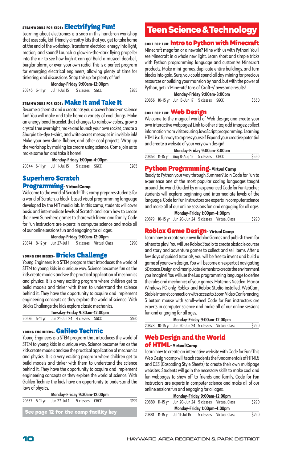## STEAMWORKS FOR KIDS: Electrifying Fun!

Learning about electronics is a snap in this hands-on workshop that uses safe, kid-friendly circuitry kits that you get to take home at the end of the workshop. Transform electrical energy into light, motion, and sound! Launch a glow-in-the-dark flying propeller into the air to see how high it can go! Build a musical doorbell, burglar alarm, or even your own radio! This is a perfect program for emerging electrical engineers, allowing plenty of time for tinkering, and discussions. Snap this up for plenty of fun!

**Monday-Friday 9:00am-12:00pm** 

|  | 20845 6-11 yr Jul 11-Jul 15 5 classes SGCC |  | \$285 |
|--|--------------------------------------------|--|-------|
|  |                                            |  |       |

#### STEAMWORKS FOR KIDS: Make It and Take It

Become a chemist and a creator as you discover hands-on science fun! You will make and take home a variety of cool things. Make an energy bead bracelet that changes to rainbow colors, grow a crystal tree overnight, make and launch your own rocket, create a Sharpie tie-dye t-shirt, and write secret messages in invisible ink! Make your own slime, flubber, and other cool projects. Wrap up the workshop by making ice cream using science. Come join us to make some fun and take it home!

|  | Monday-Friday 1:00pm-4:00pm                |  |       |
|--|--------------------------------------------|--|-------|
|  | 20844 6-11 yr Jul 11-Jul 15 5 classes SGCC |  | \$285 |

# Superhero Scratch

#### Programming**- Virtual Camp**

Welcome to the world of Scratch! This camp prepares students for a world of Scratch, a block-based visual programming language developed by the MIT media lab. In this camp, students will cover basic and intermediate levels of Scratch and learn how to create their own Superhero games to share with friend and family. Code for Fun instructors are experts in computer science and make all of our online sessions fun and engaging for all ages.

| Monday-Friday 9:00am-12:00pm |                                                    |  |  |       |  |  |  |
|------------------------------|----------------------------------------------------|--|--|-------|--|--|--|
|                              | 20874 8-12 yr Jun 27-Jul 1 5 classes Virtual Class |  |  | \$290 |  |  |  |

#### YOUNG ENGINEERS- Bricks Challenge

Young Engineers is a STEM program that introduces the world of STEM to young kids in a unique way. Science becomes fun as the kids create models and see the practical application of mechanics and physics. It is a very exciting program where children get to build models and tinker with them to understand the science behind it. They have the opportunity to acquire and implement engineering concepts as they explore the world of science. With Bricks Challenge the kids explore classic mechanics.

| Tuesday-Friday 9:30am-12:00pm |  |                                            |  |  |       |  |  |
|-------------------------------|--|--------------------------------------------|--|--|-------|--|--|
|                               |  | 20636 5-11 yr Jun 21-Jun 24 4 classes SGCC |  |  | \$160 |  |  |

#### YOUNG ENGINEERS- Galileo Technic

Young Engineers is a STEM program that introduces the world of STEM to young kids in a unique way. Science becomes fun as the kids create models and see the practical application of mechanics and physics. It is a very exciting program where children get to build models and tinker with them to understand the science behind it. They have the opportunity to acquire and implement engineering concepts as they explore the world of science. With Galileo Technic the kids have an opportunity to understand the laws of physics.

| Monday-Friday 9:30am-12:00pm |                                           |  |                                       |       |  |  |  |  |
|------------------------------|-------------------------------------------|--|---------------------------------------|-------|--|--|--|--|
|                              | 20637 5-11 yr Jun 27-Jul 1 5 classes CHCC |  |                                       | \$199 |  |  |  |  |
|                              |                                           |  | See page 12 for the camp facility key |       |  |  |  |  |

# Teen Science & Technology

# CODE FOR FUN: Intro to Python with Minecraft

Minecraft megafan or a newbie? Mine with us with Python! You'll see Minecraft in a whole new light. Learn short and simple tricks with Python programming language and customize Minecraft products. Make mini-games, duplicate entire buildings, and turn blocks into gold. Sure, you could spend all day mining for precious resources or building your mansion by hand, but with the power of Python, get in 'Mine-ute' tons of 'Craft-y' awesome results!

| Monday-Friday 9:00am-3:00pm |                                             |  |  |       |  |  |  |  |
|-----------------------------|---------------------------------------------|--|--|-------|--|--|--|--|
|                             | 20856 10-15 yr Jun 13-Jun 17 5 classes SGCC |  |  | \$550 |  |  |  |  |

#### CODE FOR FUN: Web Design

Welcome to the magical world of Web design; and create your own interactive webpages! Link to other sites; add images; collect information from visitors using JavaScript programming. Learning HTML is a fun way to express yourself. Expand your creative potential and create a website of your very own design!

|  | Monday-Friday 9:00am-3:00pm                |  |       |
|--|--------------------------------------------|--|-------|
|  | 20863 11-15 yr Aug 8-Aug 12 5 classes CHCC |  | \$550 |

# Python Programming**- Virtual Camp**

Ready to Python your way through Summer? Join Code for Fun to experience one of the most popular coding languages taught around the world. Guided by an experienced Code for Fun teacher, students will explore beginning and intermediate levels of the language. Code for Fun instructors are experts in computer science and make all of our online sessions fun and engaging for all ages. **Monday-Friday 1:00pm-4:00pm** 

| monday-Friday i:UUpm-4:UUpm |  |                                                      |  |  |       |  |  |
|-----------------------------|--|------------------------------------------------------|--|--|-------|--|--|
|                             |  | 20879 10-15 yr Jun 20-Jun 24 5 classes Virtual Class |  |  | \$290 |  |  |

#### Roblox Game Design**- Virtual Camp**

Learn how to create your own Roblox Games and publish them for others to play! You will use Roblox Studio to create obstacle courses and story and adventure games to collect and sell items. After a few days of guided tutorials, you will be free to invent and build a game of your own design. You will become an expert at navigating 3D space. Design and manipulate elements to create the environment you imagine! You will use the Lua programming language to define the rules and mechanics of your games. Materials Needed: Mac or Windows PC only, Roblox and Roblox Studio installed, WebCam, Stable internet connection with access to Zoom Video Conferencing, 3 button mouse with scroll-wheel Code for Fun instructors are experts in computer science and make all of our online sessions fun and engaging for all ages.

| Monday-Friday 9:00am-12:00pm |                                                      |  |  |       |  |  |  |  |
|------------------------------|------------------------------------------------------|--|--|-------|--|--|--|--|
|                              | 20878 10-15 yr Jun 20-Jun 24 5 classes Virtual Class |  |  | \$290 |  |  |  |  |
|                              |                                                      |  |  |       |  |  |  |  |

# Web Design and the World

#### of HTML**- Virtual Camp**

Learn how to create an interactive website with Code for Fun! This Web Design camp will teach students the fundamentals of HTML5 and CSS (Cascading Style Sheets) to create their own multipage websites. Students will gain the necessary skills to make cool and fun webpages to show off to friends and family. Code for Fun instructors are experts in computer science and make all of our online sessions fun and engaging for all ages.

|                | Monday-Friday 9:00am-12:00pm          |                         |       |
|----------------|---------------------------------------|-------------------------|-------|
| 20880 11-15 vr | Jun 20-Jun 24 5 classes Virtual Class |                         | \$290 |
|                | Monday-Friday 1:00pm-4:00pm           |                         |       |
|                | 20881 11-15 yr Jul 11-Jul 15          | 5 classes Virtual Class | \$290 |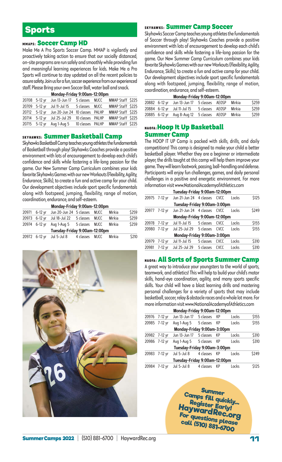# Sports

#### **MMAPS: Soccer Camp HD**

Make Me A Pro Sports Soccer Camp. MMAP is vigilantly and proactively taking action to ensure that our socially distanced, on-site programs are run safely and smoothly while providing fun and meaningful learning experiences for kids. Make Me a Pro Sports will continue to stay updated on all the recent policies to assure safety. Join us for a fun, soccer experience from our experienced staff. Please Bring your own Soccer Ball, water ball and snack.

| Monday-Friday 9:00am-12:00pm |                                              |                  |  |                  |  |  |  |  |  |
|------------------------------|----------------------------------------------|------------------|--|------------------|--|--|--|--|--|
| 20708 5-12 vr                | Jun 13-Jun 17                                | 5 classes MJCC   |  | MMAP Staff \$225 |  |  |  |  |  |
|                              | 20709 5-12 yr Jul 11-Jul 15 5 classes MJCC   |                  |  | MMAP Staff \$225 |  |  |  |  |  |
|                              | 20712 5-12 yr Jun 20-Jun 24 10 classes PALHP |                  |  | MMAP Staff \$225 |  |  |  |  |  |
|                              | 20714 5-12 yr Jul 25-Jul 29 10 classes PALHP |                  |  | MMAP Staff \$225 |  |  |  |  |  |
| 20715 5-12 yr                | Aug 1-Aug 5                                  | 10 classes PALHP |  | MMAP Staff \$225 |  |  |  |  |  |

skyhawks: **Summer Basketball Camp** 

Skyhawks Basketball Camp teaches young athletes the fundamentals of Basketball through play! Skyhawks Coaches provide a positive environment with lots of encouragement to develop each child's confidence and skills while fostering a life-long passion for the game. Our New Summer Camp Curriculum combines your kids favorite Skyhawks Games with our new Workouts (Flexibility, Agility, Endurance, Skills), to create a fun and active camp for your child. Our development objectives include sport specific fundamentals along with footspeed, jumping, flexibility, range of motion, coordination, endurance, and self-esteem.

| Monday-Friday 9:00am-12:00pm  |               |                              |                |      |               |       |
|-------------------------------|---------------|------------------------------|----------------|------|---------------|-------|
|                               | 20971 6-12 yr | Jun 20-Jun 24 5 classes MJCC |                |      | Mirkia        | \$259 |
|                               | 20973 6-12 vr | Jul 18-Jul 22 5 classes      |                | MJCC | <b>Mirkia</b> | \$259 |
|                               | 20974 6-12 yr | Aug 1-Aug 5 5 classes MJCC   |                |      | <b>Mirkia</b> | \$259 |
| Tuesday-Friday 9:00am-12:00pm |               |                              |                |      |               |       |
|                               |               | 20972 6-12 yr Jul 5-Jul 8    | 4 classes MJCC |      | Mirkia        | \$210 |



#### SKYHAWKS: Summer Camp Soccer

Skyhawks Soccer Camp teaches young athletes the fundamentals of Soccer through play! Skyhawks Coaches provide a positive environment with lots of encouragement to develop each child's confidence and skills while fostering a life-long passion for the game. Our New Summer Camp Curriculum combines your kids favorite Skyhawks Games with our new Workouts (Flexibility, Agility, Endurance, Skills), to create a fun and active camp for your child. Our development objectives include sport specific fundamentals along with footspeed, jumping, flexibility, range of motion, coordination, endurance, and self-esteem.

| Monday-Friday 9:00am-12:00pm |
|------------------------------|
|                              |

|  | $m$ onaa $\gamma$ $\ldots$ aa $\gamma$ $\ldots$ ooa $\ldots$ ne $\ldots$ oop $\ldots$ |  |       |
|--|---------------------------------------------------------------------------------------|--|-------|
|  | 20882 6-12 yr Jun 13-Jun 17 5 classes AEOSP Mirkia                                    |  | \$259 |
|  | 20884 6-12 yr Jul 11-Jul 15 5 classes AEOSP Mirkia                                    |  | \$259 |
|  | 20885 6-12 yr Aug 8-Aug 12 5 classes AEOSP Mirkia                                     |  | \$259 |

# NAOFA:Hoop It Up Basketball Summer Camp

The HOOP IT UP Camp is packed with skills, drills, and daily competitions! This camp is designed to make your child a better basketball player. Whether they are a beginner or intermediate player, the drills taught at this camp will help them improve your game. They will learn footwork, passing, ball-handling and defense. Participants will enjoy fun challenges, games, and daily personal challenges in a positive and energetic environment. For more information visit www.NationalAcademyofAthletics.com

| Tuesday-Friday 9:00am-12:00pm |               |                              |  |             |       |       |
|-------------------------------|---------------|------------------------------|--|-------------|-------|-------|
|                               | 20975 7-12 yr | Jun 21-Jun 24 4 classes CVCC |  |             | Locks | \$125 |
|                               |               | Tuesday-Friday 9:00am-3:00pm |  |             |       |       |
|                               | 20977 7-12 yr | Jun 21-Jun 24 4 classes CVCC |  |             | Locks | \$249 |
| Monday-Friday 9:00am-12:00pm  |               |                              |  |             |       |       |
|                               | 20978 7-12 yr | Jul 11-Jul 15 5 classes CVCC |  |             | Locks | \$155 |
|                               | 20980 7-12 yr | Jul 25-Jul 29 5 classes CVCC |  |             | Locks | \$155 |
| Monday-Friday 9:00am-3:00pm   |               |                              |  |             |       |       |
| 20979                         | 7-12 yr       | Jul 11-Jul 15 5 classes      |  | <b>CVCC</b> | Locks | \$310 |
| 20981                         | $7-12$ yr     | Jul 25-Jul 29 5 classes      |  | <b>CVCC</b> | Locks | \$310 |

## NAOFA: All Sorts of Sports Summer Camp

A great way to introduce your youngsters to the world of sports, teamwork, and athletics! This will help to build your child's motor skills, hand-eye coordination, agility, and many sports specific skills. Your child will have a blast learning drills and mastering personal challenges for a variety of sports that may include basketball, soccer, relay & obstacle races and a whole lot more. For more information visit www.NationalAcademyofAthletics.com

**Monday-Friday 9:00am-12:00pm**  20976 7-12 yr Jun 13-Jun 17 5 classes KP Locks \$155 20985 7-12 yr Aug 1-Aug 5 5 classes KP Locks \$155 **Monday-Friday 9:00am-3:00pm**  20982 7-12 yr Jun 13-Jun 17 5 classes KP Locks \$310 20986 7-12 yr Aug 1-Aug 5 5 classes KP Locks \$310 **Tuesday-Friday 9:00am-3:00pm**  20983 7-12 yr Jul 5-Jul 8 4 classes KP Locks \$249 **Tuesday-Friday 9:00am-12:00pm**  20984 7-12 yr Jul 5-Jul 8 4 classes KP Locks \$125

> **Summer Camps fill quickly... Register Early! HaywardRec.org For questions please call (510) 881-6700**